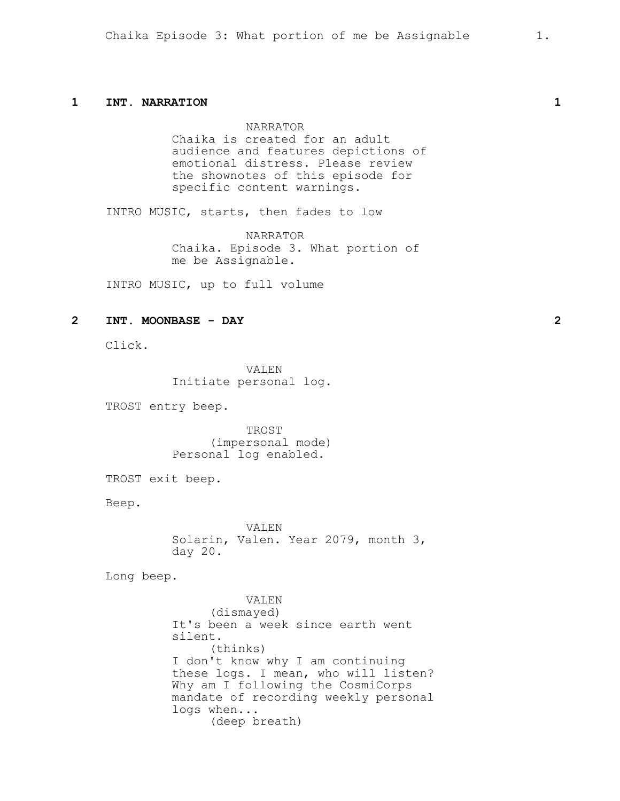## **1 INT. NARRATION 1**

NARRATOR Chaika is created for an adult audience and features depictions of emotional distress. Please review the shownotes of this episode for specific content warnings.

INTRO MUSIC, starts, then fades to low

NARRATOR Chaika. Episode 3. What portion of me be Assignable.

INTRO MUSIC, up to full volume

## **2 INT. MOONBASE - DAY 2**

Click.

VALEN Initiate personal log.

TROST entry beep.

TROST (impersonal mode) Personal log enabled.

TROST exit beep.

Beep.

VALEN Solarin, Valen. Year 2079, month 3, day 20.

Long beep.

VALEN (dismayed) It's been a week since earth went silent. (thinks) I don't know why I am continuing these logs. I mean, who will listen? Why am I following the CosmiCorps mandate of recording weekly personal logs when... (deep breath)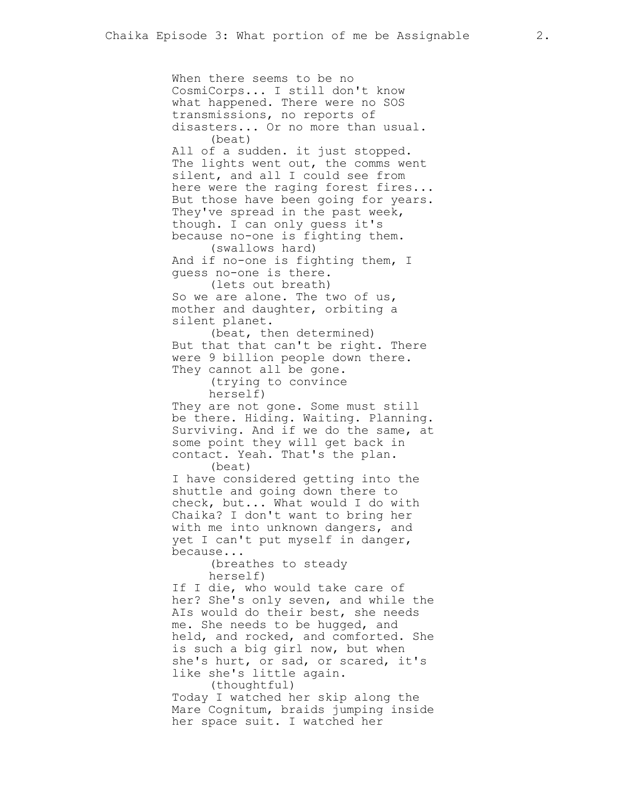When there seems to be no CosmiCorps... I still don't know what happened. There were no SOS transmissions, no reports of disasters... Or no more than usual. (beat) All of a sudden. it just stopped. The lights went out, the comms went silent, and all I could see from here were the raging forest fires... But those have been going for years. They've spread in the past week, though. I can only guess it's because no-one is fighting them. (swallows hard) And if no-one is fighting them, I guess no-one is there. (lets out breath) So we are alone. The two of us, mother and daughter, orbiting a silent planet. (beat, then determined) But that that can't be right. There were 9 billion people down there. They cannot all be gone. (trying to convince herself) They are not gone. Some must still be there. Hiding. Waiting. Planning. Surviving. And if we do the same, at some point they will get back in contact. Yeah. That's the plan. (beat) I have considered getting into the shuttle and going down there to check, but... What would I do with Chaika? I don't want to bring her with me into unknown dangers, and yet I can't put myself in danger, because... (breathes to steady herself) If I die, who would take care of her? She's only seven, and while the AIs would do their best, she needs me. She needs to be hugged, and held, and rocked, and comforted. She is such a big girl now, but when she's hurt, or sad, or scared, it's like she's little again. (thoughtful) Today I watched her skip along the Mare Cognitum, braids jumping inside

her space suit. I watched her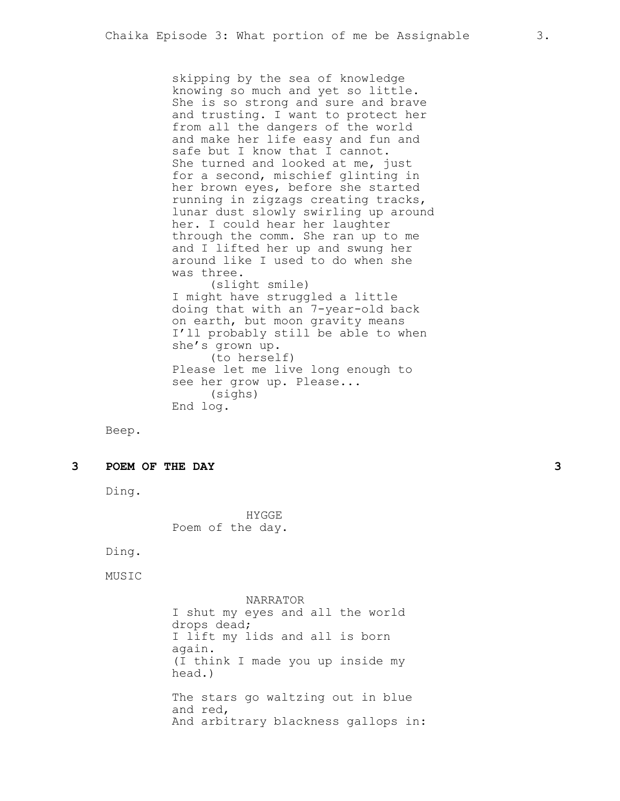skipping by the sea of knowledge knowing so much and yet so little. She is so strong and sure and brave and trusting. I want to protect her from all the dangers of the world and make her life easy and fun and safe but I know that I cannot. She turned and looked at me, just for a second, mischief glinting in her brown eyes, before she started running in zigzags creating tracks, lunar dust slowly swirling up around her. I could hear her laughter through the comm. She ran up to me and I lifted her up and swung her around like I used to do when she was three. (slight smile) I might have struggled a little doing that with an 7-year-old back on earth, but moon gravity means I'll probably still be able to when she's grown up. (to herself) Please let me live long enough to see her grow up. Please... (sighs)

Beep.

**3 POEM OF THE DAY 3**

Ding.

HYGGE Poem of the day.

End log.

Ding.

MUSIC

NARRATOR I shut my eyes and all the world drops dead; I lift my lids and all is born again. (I think I made you up inside my head.) The stars go waltzing out in blue and red, And arbitrary blackness gallops in: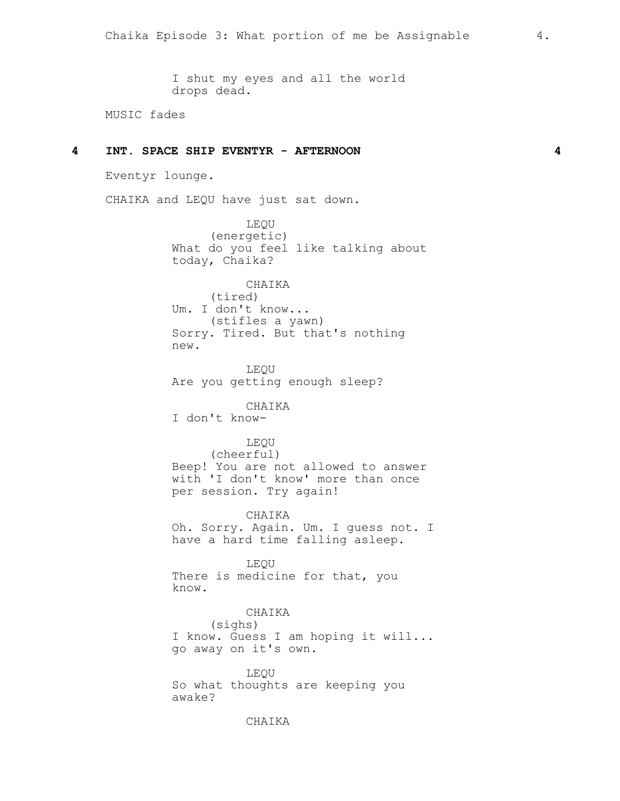I shut my eyes and all the world drops dead.

MUSIC fades

## **4 INT. SPACE SHIP EVENTYR - AFTERNOON 4**

Eventyr lounge.

CHAIKA and LEQU have just sat down.

LEQU (energetic) What do you feel like talking about today, Chaika?

CHAIKA (tired) Um. I don't know... (stifles a yawn) Sorry. Tired. But that's nothing new.

LEQU Are you getting enough sleep?

CHAIKA I don't know-

## LEQU

(cheerful) Beep! You are not allowed to answer with 'I don't know' more than once per session. Try again!

CHAIKA Oh. Sorry. Again. Um. I guess not. I have a hard time falling asleep.

LEQU There is medicine for that, you know.

CHAIKA

(sighs)

I know. Guess I am hoping it will... go away on it's own.

LEQU So what thoughts are keeping you awake?

## CHAIKA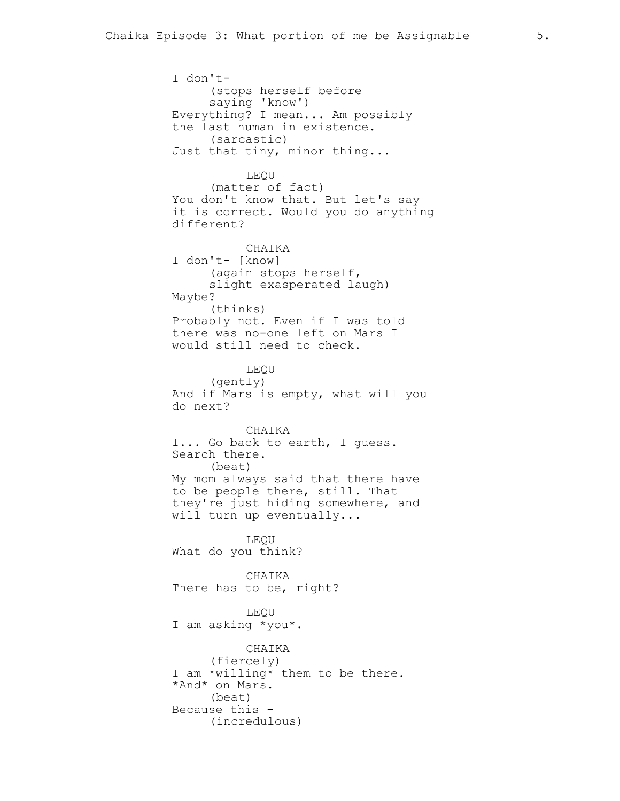I don't- (stops herself before saying 'know') Everything? I mean... Am possibly the last human in existence. (sarcastic) Just that tiny, minor thing... LEQU (matter of fact) You don't know that. But let's say it is correct. Would you do anything different? CHAIKA I don't- [know] (again stops herself, slight exasperated laugh) Maybe? (thinks) Probably not. Even if I was told there was no-one left on Mars I would still need to check. LEQU (gently) And if Mars is empty, what will you do next? CHAIKA I... Go back to earth, I guess. Search there. (beat) My mom always said that there have to be people there, still. That they're just hiding somewhere, and will turn up eventually... LEQU What do you think? CHAIKA There has to be, right? LEQU I am asking \*you\*. CHAIKA (fiercely) I am \*willing\* them to be there. \*And\* on Mars. (beat) Because this - (incredulous)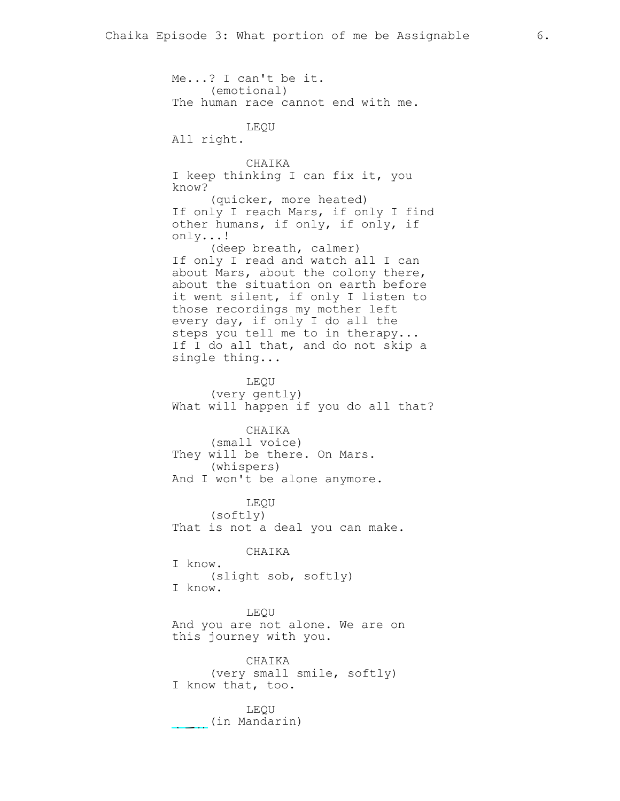Me...? I can't be it. (emotional) The human race cannot end with me. LEQU All right. CHAIKA I keep thinking I can fix it, you know? (quicker, more heated) If only I reach Mars, if only I find other humans, if only, if only, if only...! (deep breath, calmer) If only I read and watch all I can about Mars, about the colony there, about the situation on earth before it went silent, if only I listen to those recordings my mother left every day, if only I do all the steps you tell me to in therapy... If I do all that, and do not skip a single thing... LEQU (very gently) What will happen if you do all that? CHAIKA (small voice) They will be there. On Mars. (whispers) And I won't be alone anymore. LEQU (softly) That is not a deal you can make. CHAIKA I know. (slight sob, softly) I know. LEQU And you are not alone. We are on this journey with you. CHAIKA (very small smile, softly) I know that, too. LEQU (in Mandarin)

亲爱的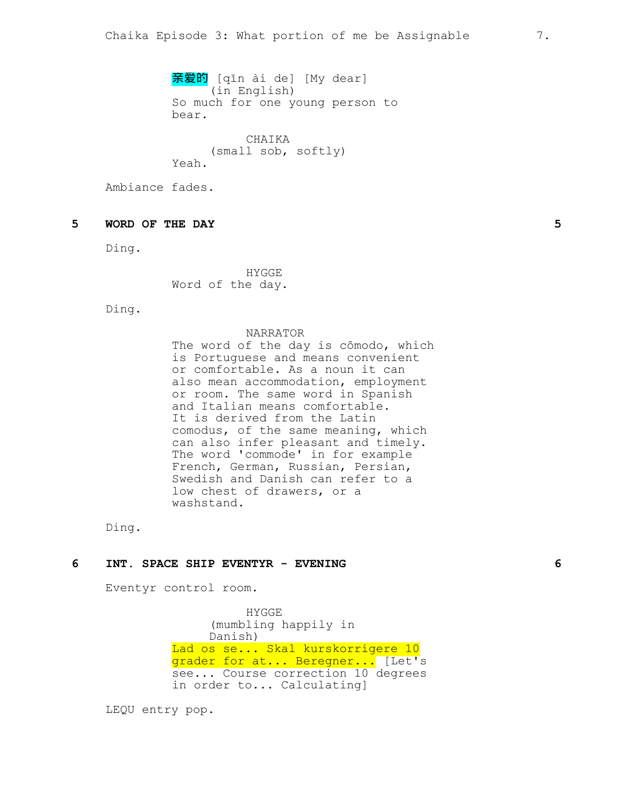亲爱的 [qīn ài de] [My dear] (in English) So much for one young person to bear.

CHAIKA (small sob, softly) Yeah.

Ambiance fades.

# **5 WORD OF THE DAY 5**

Ding.

HYGGE Word of the day.

Ding.

#### NARRATOR

The word of the day is cômodo, which is Portuguese and means convenient or comfortable. As a noun it can also mean accommodation, employment or room. The same word in Spanish and Italian means comfortable. It is derived from the Latin comodus, of the same meaning, which can also infer pleasant and timely. The word 'commode' in for example French, German, Russian, Persian, Swedish and Danish can refer to a low chest of drawers, or a washstand.

Ding.

### **6 INT. SPACE SHIP EVENTYR - EVENING 6**

Eventyr control room.

HYGGE (mumbling happily in Danish) Lad os se... Skal kurskorrigere 10 grader for at... Beregner... [Let's see... Course correction 10 degrees in order to... Calculating]

LEQU entry pop.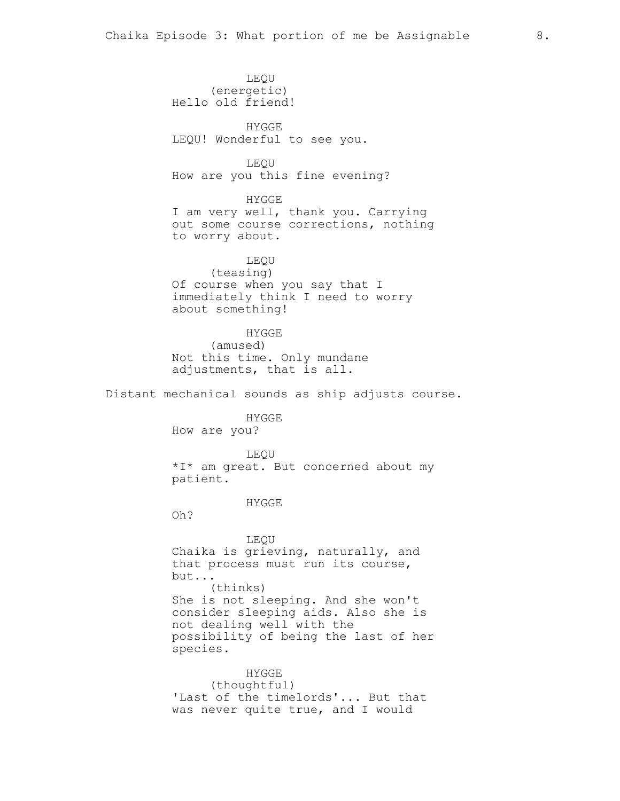LEQU (energetic) Hello old friend! HYGGE LEQU! Wonderful to see you. LEQU How are you this fine evening? HYGGE I am very well, thank you. Carrying out some course corrections, nothing to worry about. LEQU (teasing) Of course when you say that I immediately think I need to worry about something! HYGGE (amused) Not this time. Only mundane adjustments, that is all. Distant mechanical sounds as ship adjusts course. HYGGE How are you? LEQU \*I\* am great. But concerned about my patient. HYGGE Oh? LEQU Chaika is grieving, naturally, and that process must run its course, but... (thinks) She is not sleeping. And she won't consider sleeping aids. Also she is not dealing well with the possibility of being the last of her species. HYGGE (thoughtful)

> 'Last of the timelords'... But that was never quite true, and I would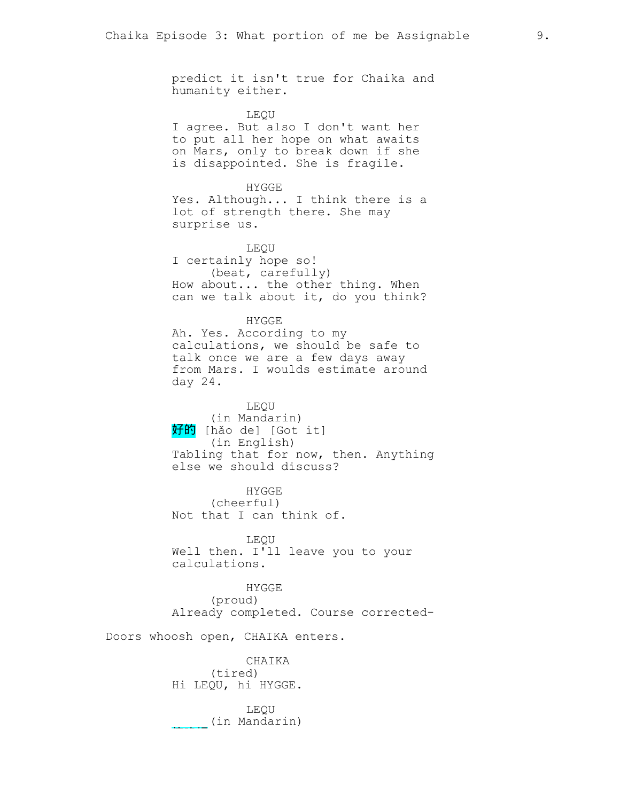predict it isn't true for Chaika and humanity either.

LEQU

I agree. But also I don't want her to put all her hope on what awaits on Mars, only to break down if she is disappointed. She is fragile.

HYGGE Yes. Although... I think there is a lot of strength there. She may surprise us.

LEQU I certainly hope so! (beat, carefully) How about... the other thing. When can we talk about it, do you think?

HYGGE Ah. Yes. According to my calculations, we should be safe to talk once we are a few days away from Mars. I woulds estimate around day 24.

LEQU (in Mandarin) 好的 [hǎo de] [Got it] (in English) Tabling that for now, then. Anything else we should discuss?

HYGGE (cheerful) Not that I can think of.

LEQU Well then. I'll leave you to your calculations.

HYGGE (proud) Already completed. Course corrected-

Doors whoosh open, CHAIKA enters.

CHAIKA (tired) Hi LEQU, hi HYGGE.

LEQU (in Mandarin) <del>的人</del>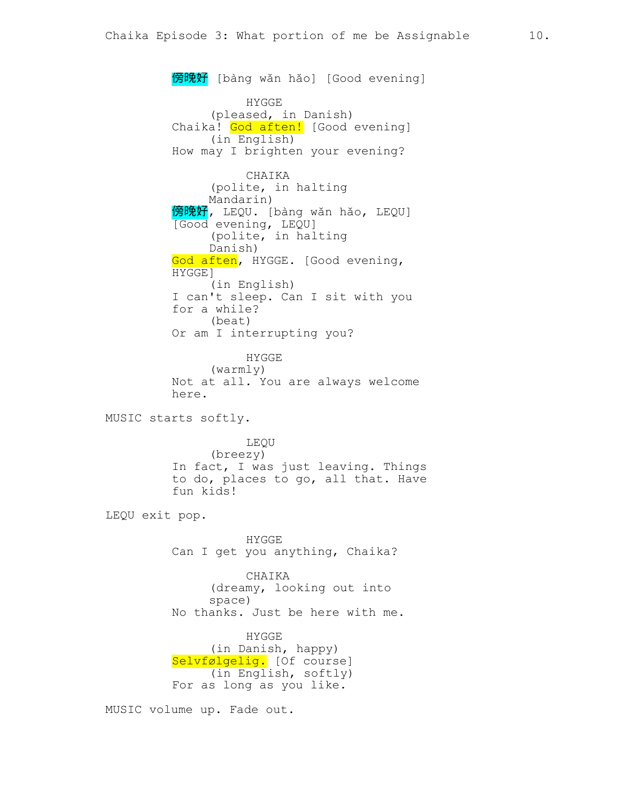**傍晚好** [bàng wǎn hǎo] [Good evening] HYGGE (pleased, in Danish) Chaika! God aften! [Good evening] (in English) How may I brighten your evening? CHAIKA (polite, in halting Mandarin) **傍晚好,** LEQU. [bàng wǎn hǎo, LEQU] [Good evening, LEQU] (polite, in halting Danish) God aften, HYGGE. [Good evening, HYGGE] (in English) I can't sleep. Can I sit with you for a while? (beat) Or am I interrupting you? HYGGE (warmly) Not at all. You are always welcome here. MUSIC starts softly. LEQU (breezy) In fact, I was just leaving. Things to do, places to go, all that. Have fun kids! LEQU exit pop. HYGGE Can I get you anything, Chaika? CHAIKA (dreamy, looking out into space) No thanks. Just be here with me. HYGGE (in Danish, happy) Selvfølgelig. [Of course] (in English, softly) For as long as you like. MUSIC volume up. Fade out.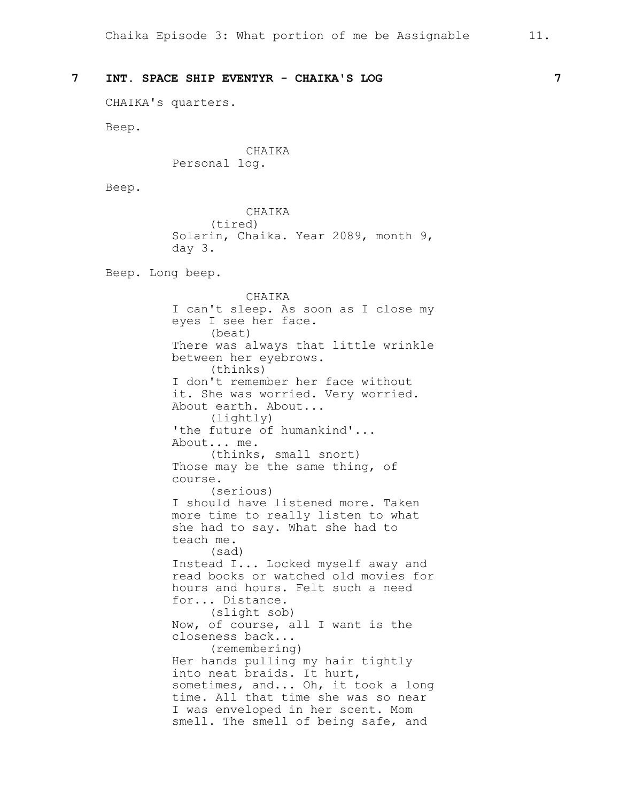CHAIKA's quarters.

Beep.

CHAIKA Personal log.

Beep.

CHAIKA (tired) Solarin, Chaika. Year 2089, month 9, day 3.

Beep. Long beep.

CHAIKA I can't sleep. As soon as I close my eyes I see her face. (beat) There was always that little wrinkle between her eyebrows. (thinks) I don't remember her face without it. She was worried. Very worried. About earth. About... (lightly) 'the future of humankind'... About... me. (thinks, small snort) Those may be the same thing, of course. (serious) I should have listened more. Taken more time to really listen to what she had to say. What she had to teach me. (sad) Instead I... Locked myself away and read books or watched old movies for hours and hours. Felt such a need for... Distance. (slight sob) Now, of course, all I want is the closeness back... (remembering) Her hands pulling my hair tightly into neat braids. It hurt, sometimes, and... Oh, it took a long time. All that time she was so near I was enveloped in her scent. Mom smell. The smell of being safe, and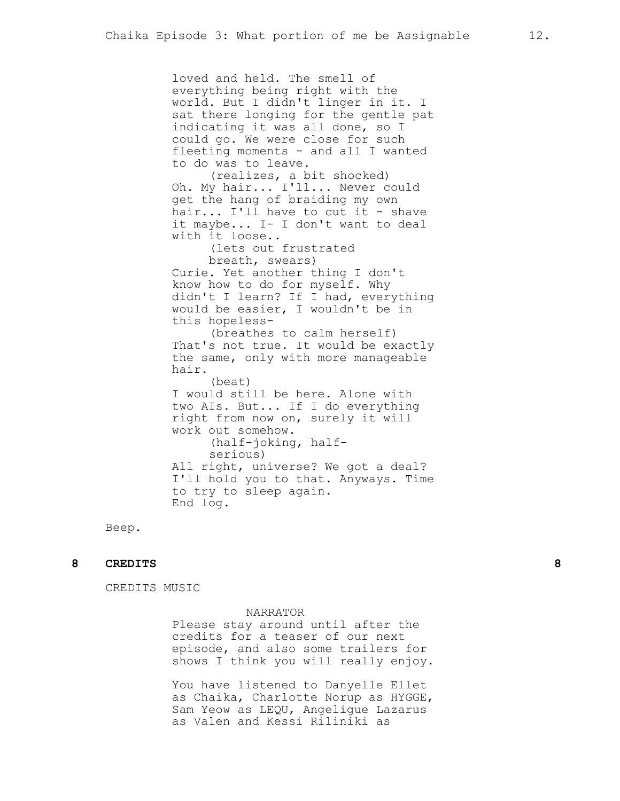loved and held. The smell of everything being right with the world. But I didn't linger in it. I sat there longing for the gentle pat indicating it was all done, so I could go. We were close for such fleeting moments - and all I wanted to do was to leave. (realizes, a bit shocked) Oh. My hair... I'll... Never could get the hang of braiding my own hair... I'll have to cut it - shave it maybe... I- I don't want to deal with it loose.. (lets out frustrated breath, swears) Curie. Yet another thing I don't know how to do for myself. Why didn't I learn? If I had, everything would be easier, I wouldn't be in this hopeless- (breathes to calm herself) That's not true. It would be exactly the same, only with more manageable hair. (beat) I would still be here. Alone with two AIs. But... If I do everything right from now on, surely it will work out somehow. (half-joking, halfserious) All right, universe? We got a deal? I'll hold you to that. Anyways. Time to try to sleep again. End log.

Beep.

## **8 CREDITS 8**

CREDITS MUSIC

#### NARRATOR

Please stay around until after the credits for a teaser of our next episode, and also some trailers for shows I think you will really enjoy.

You have listened to Danyelle Ellet as Chaika, Charlotte Norup as HYGGE, Sam Yeow as LEQU, Angeligue Lazarus as Valen and Kessi Riliniki as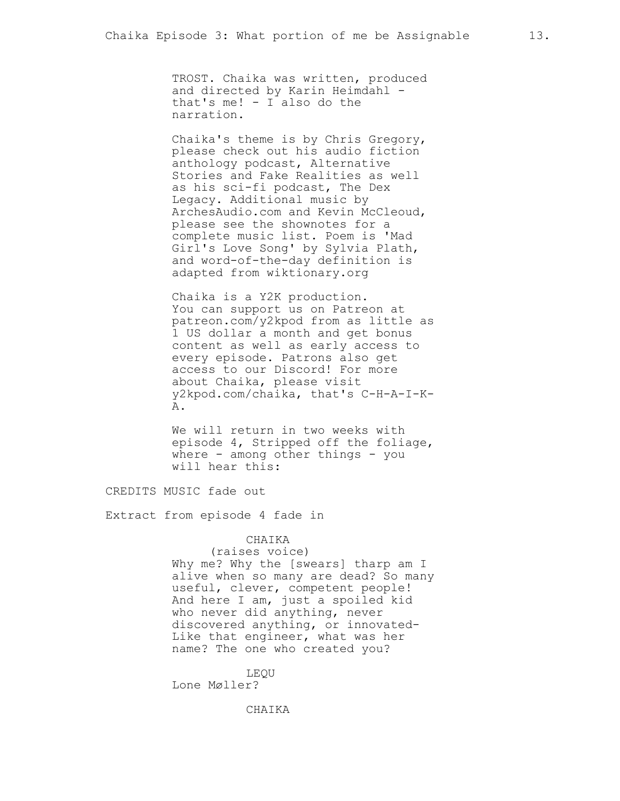TROST. Chaika was written, produced and directed by Karin Heimdahl that's me! - I also do the narration.

Chaika's theme is by Chris Gregory, please check out his audio fiction anthology podcast, Alternative Stories and Fake Realities as well as his sci-fi podcast, The Dex Legacy. Additional music by ArchesAudio.com and Kevin McCleoud, please see the shownotes for a complete music list. Poem is 'Mad Girl's Love Song' by Sylvia Plath, and word-of-the-day definition is adapted from wiktionary.org

Chaika is a Y2K production. You can support us on Patreon at patreon.com/y2kpod from as little as 1 US dollar a month and get bonus content as well as early access to every episode. Patrons also get access to our Discord! For more about Chaika, please visit y2kpod.com/chaika, that's C-H-A-I-K-A.

We will return in two weeks with episode 4, Stripped off the foliage, where  $-$  among other things  $-$  you will hear this:

CREDITS MUSIC fade out

Extract from episode 4 fade in

### CHAIKA

(raises voice) Why me? Why the [swears] tharp am I alive when so many are dead? So many useful, clever, competent people! And here I am, just a spoiled kid who never did anything, never discovered anything, or innovated-Like that engineer, what was her name? The one who created you?

LEQU Lone Møller?

CHAIKA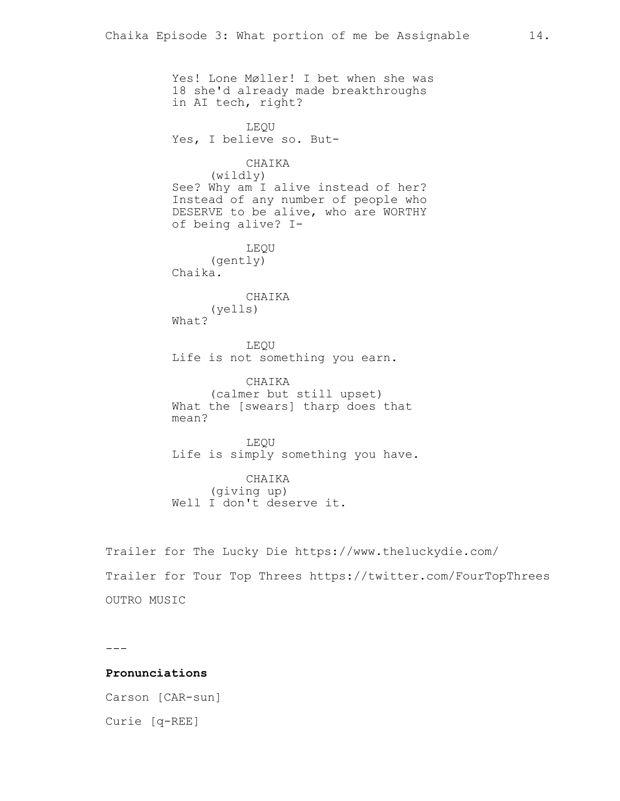Yes! Lone Møller! I bet when she was 18 she'd already made breakthroughs in AI tech, right? LEQU Yes, I believe so. But-CHAIKA (wildly) See? Why am I alive instead of her? Instead of any number of people who DESERVE to be alive, who are WORTHY of being alive? I-LEQU (gently) Chaika. CHAIKA (yells) What? LEQU Life is not something you earn. CHAIKA (calmer but still upset) What the [swears] tharp does that mean? LEQU Life is simply something you have. CHAIKA (giving up) Well I don't deserve it. Trailer for The Lucky Die https://www.theluckydie.com/

Trailer for Tour Top Threes https://twitter.com/FourTopThrees OUTRO MUSIC

---

## **Pronunciations**

Carson [CAR-sun] Curie [q-REE]